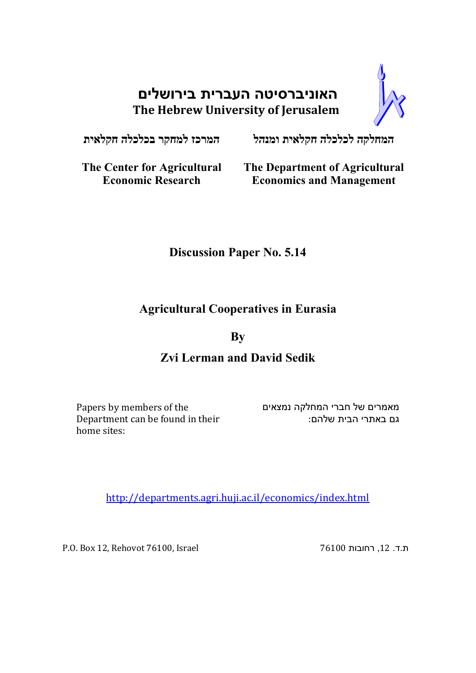# **האוניברסיטה העברית בירושלים The Hebrew University of Jerusalem**



**המחלקה לכלכלה חקלאית ומנהל המרכז למחקר בכלכלה חקלאית**

**The Center for Agricultural Economic Research**

**The Department of Agricultural Economics and Management**

## **Discussion Paper No. 5.14**

## **Agricultural Cooperatives in Eurasia**

### **By**

## **Zvi Lerman and David Sedik**

Papers by members of the Department can be found in their home sites:

מאמרים של חברי המחלקה נמצאים גם באתרי הבית שלהם:

http://departments.agri.huji.ac.il/economics/index.html

P.O. Box 12, Rehovot 76100, Israel 76100 רחובות ,12 .ד.ת

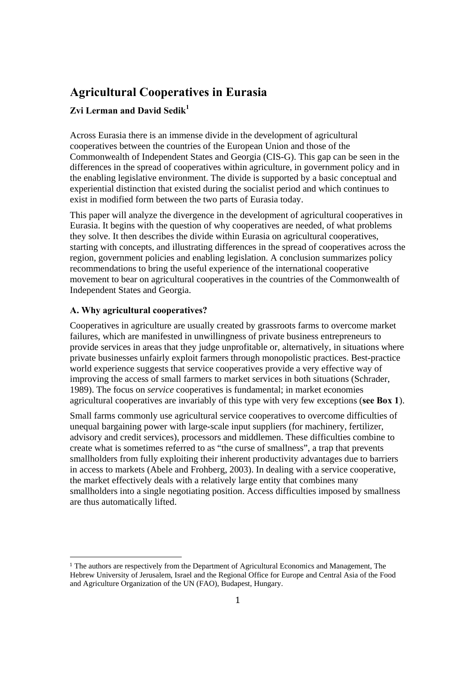## **Agricultural Cooperatives in Eurasia**

### **Zvi Lerman and David Sedik<sup>1</sup>**

Across Eurasia there is an immense divide in the development of agricultural cooperatives between the countries of the European Union and those of the Commonwealth of Independent States and Georgia (CIS-G). This gap can be seen in the differences in the spread of cooperatives within agriculture, in government policy and in the enabling legislative environment. The divide is supported by a basic conceptual and experiential distinction that existed during the socialist period and which continues to exist in modified form between the two parts of Eurasia today.

This paper will analyze the divergence in the development of agricultural cooperatives in Eurasia. It begins with the question of why cooperatives are needed, of what problems they solve. It then describes the divide within Eurasia on agricultural cooperatives, starting with concepts, and illustrating differences in the spread of cooperatives across the region, government policies and enabling legislation. A conclusion summarizes policy recommendations to bring the useful experience of the international cooperative movement to bear on agricultural cooperatives in the countries of the Commonwealth of Independent States and Georgia.

### **A. Why agricultural cooperatives?**

Cooperatives in agriculture are usually created by grassroots farms to overcome market failures, which are manifested in unwillingness of private business entrepreneurs to provide services in areas that they judge unprofitable or, alternatively, in situations where private businesses unfairly exploit farmers through monopolistic practices. Best-practice world experience suggests that service cooperatives provide a very effective way of improving the access of small farmers to market services in both situations (Schrader, 1989). The focus on *service* cooperatives is fundamental; in market economies agricultural cooperatives are invariably of this type with very few exceptions (**see Box 1**).

Small farms commonly use agricultural service cooperatives to overcome difficulties of unequal bargaining power with large-scale input suppliers (for machinery, fertilizer, advisory and credit services), processors and middlemen. These difficulties combine to create what is sometimes referred to as "the curse of smallness", a trap that prevents smallholders from fully exploiting their inherent productivity advantages due to barriers in access to markets (Abele and Frohberg, 2003). In dealing with a service cooperative, the market effectively deals with a relatively large entity that combines many smallholders into a single negotiating position. Access difficulties imposed by smallness are thus automatically lifted.

<sup>1</sup> The authors are respectively from the Department of Agricultural Economics and Management, The Hebrew University of Jerusalem, Israel and the Regional Office for Europe and Central Asia of the Food and Agriculture Organization of the UN (FAO), Budapest, Hungary.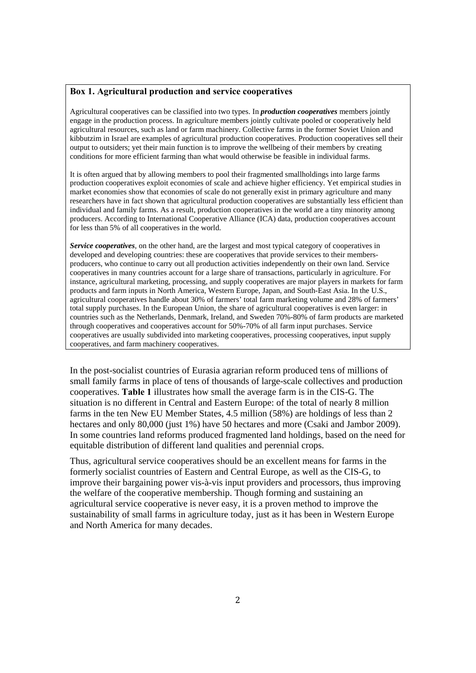#### **Box 1. Agricultural production and service cooperatives**

Agricultural cooperatives can be classified into two types. In *production cooperatives* members jointly engage in the production process. In agriculture members jointly cultivate pooled or cooperatively held agricultural resources, such as land or farm machinery. Collective farms in the former Soviet Union and kibbutzim in Israel are examples of agricultural production cooperatives. Production cooperatives sell their output to outsiders; yet their main function is to improve the wellbeing of their members by creating conditions for more efficient farming than what would otherwise be feasible in individual farms.

It is often argued that by allowing members to pool their fragmented smallholdings into large farms production cooperatives exploit economies of scale and achieve higher efficiency. Yet empirical studies in market economies show that economies of scale do not generally exist in primary agriculture and many researchers have in fact shown that agricultural production cooperatives are substantially less efficient than individual and family farms. As a result, production cooperatives in the world are a tiny minority among producers. According to International Cooperative Alliance (ICA) data, production cooperatives account for less than 5% of all cooperatives in the world.

*Service cooperatives*, on the other hand, are the largest and most typical category of cooperatives in developed and developing countries: these are cooperatives that provide services to their membersproducers, who continue to carry out all production activities independently on their own land. Service cooperatives in many countries account for a large share of transactions, particularly in agriculture. For instance, agricultural marketing, processing, and supply cooperatives are major players in markets for farm products and farm inputs in North America, Western Europe, Japan, and South-East Asia. In the U.S., agricultural cooperatives handle about 30% of farmers' total farm marketing volume and 28% of farmers' total supply purchases. In the European Union, the share of agricultural cooperatives is even larger: in countries such as the Netherlands, Denmark, Ireland, and Sweden 70%-80% of farm products are marketed through cooperatives and cooperatives account for 50%-70% of all farm input purchases. Service cooperatives are usually subdivided into marketing cooperatives, processing cooperatives, input supply cooperatives, and farm machinery cooperatives.

In the post-socialist countries of Eurasia agrarian reform produced tens of millions of small family farms in place of tens of thousands of large-scale collectives and production cooperatives. **Table 1** illustrates how small the average farm is in the CIS-G. The situation is no different in Central and Eastern Europe: of the total of nearly 8 million farms in the ten New EU Member States, 4.5 million (58%) are holdings of less than 2 hectares and only 80,000 (just 1%) have 50 hectares and more (Csaki and Jambor 2009). In some countries land reforms produced fragmented land holdings, based on the need for equitable distribution of different land qualities and perennial crops.

Thus, agricultural service cooperatives should be an excellent means for farms in the formerly socialist countries of Eastern and Central Europe, as well as the CIS-G, to improve their bargaining power vis-à-vis input providers and processors, thus improving the welfare of the cooperative membership. Though forming and sustaining an agricultural service cooperative is never easy, it is a proven method to improve the sustainability of small farms in agriculture today, just as it has been in Western Europe and North America for many decades.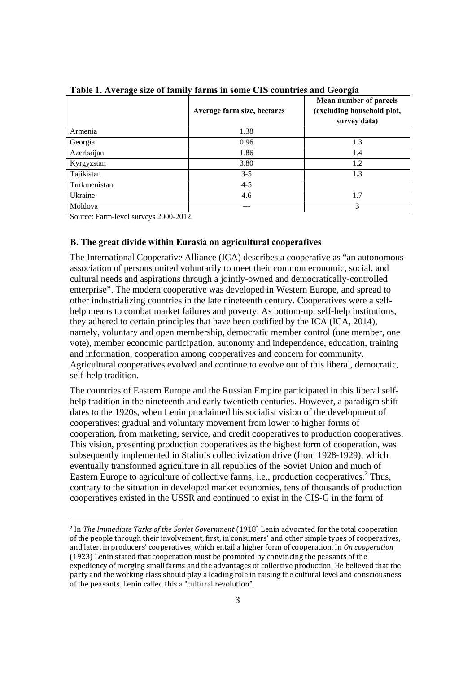|              | Average farm size, hectares | Mean number of parcels<br>(excluding household plot,<br>survey data) |  |
|--------------|-----------------------------|----------------------------------------------------------------------|--|
| Armenia      | 1.38                        |                                                                      |  |
| Georgia      | 0.96                        | 1.3                                                                  |  |
| Azerbaijan   | 1.86                        | 1.4                                                                  |  |
| Kyrgyzstan   | 3.80                        | 1.2                                                                  |  |
| Tajikistan   | $3 - 5$                     | 1.3                                                                  |  |
| Turkmenistan | $4 - 5$                     |                                                                      |  |
| Ukraine      | 4.6                         | 1.7                                                                  |  |
| Moldova      |                             | 3                                                                    |  |

**Table 1. Average size of family farms in some CIS countries and Georgia** 

Source: Farm-level surveys 2000-2012.

<u> 1989 - Jan Samuel Barbara, politik eta politik eta politik eta politik eta politik eta politik eta politik e</u>

#### **B. The great divide within Eurasia on agricultural cooperatives**

The International Cooperative Alliance (ICA) describes a cooperative as "an autonomous association of persons united voluntarily to meet their common economic, social, and cultural needs and aspirations through a jointly-owned and democratically-controlled enterprise". The modern cooperative was developed in Western Europe, and spread to other industrializing countries in the late nineteenth century. Cooperatives were a selfhelp means to combat market failures and poverty. As bottom-up, self-help institutions, they adhered to certain principles that have been codified by the ICA (ICA, 2014), namely, voluntary and open membership, democratic member control (one member, one vote), member economic participation, autonomy and independence, education, training and information, cooperation among cooperatives and concern for community. Agricultural cooperatives evolved and continue to evolve out of this liberal, democratic, self-help tradition.

The countries of Eastern Europe and the Russian Empire participated in this liberal selfhelp tradition in the nineteenth and early twentieth centuries. However, a paradigm shift dates to the 1920s, when Lenin proclaimed his socialist vision of the development of cooperatives: gradual and voluntary movement from lower to higher forms of cooperation, from marketing, service, and credit cooperatives to production cooperatives. This vision, presenting production cooperatives as the highest form of cooperation, was subsequently implemented in Stalin's collectivization drive (from 1928-1929), which eventually transformed agriculture in all republics of the Soviet Union and much of Eastern Europe to agriculture of collective farms, i.e., production cooperatives.<sup>2</sup> Thus, contrary to the situation in developed market economies, tens of thousands of production cooperatives existed in the USSR and continued to exist in the CIS-G in the form of

<sup>2</sup> In *The Immediate Tasks of the Soviet Government* (1918) Lenin advocated for the total cooperation of the people through their involvement, first, in consumers' and other simple types of cooperatives, and later, in producers' cooperatives, which entail a higher form of cooperation. In *On cooperation* (1923) Lenin stated that cooperation must be promoted by convincing the peasants of the expediency of merging small farms and the advantages of collective production. He believed that the party and the working class should play a leading role in raising the cultural level and consciousness of the peasants. Lenin called this a "cultural revolution".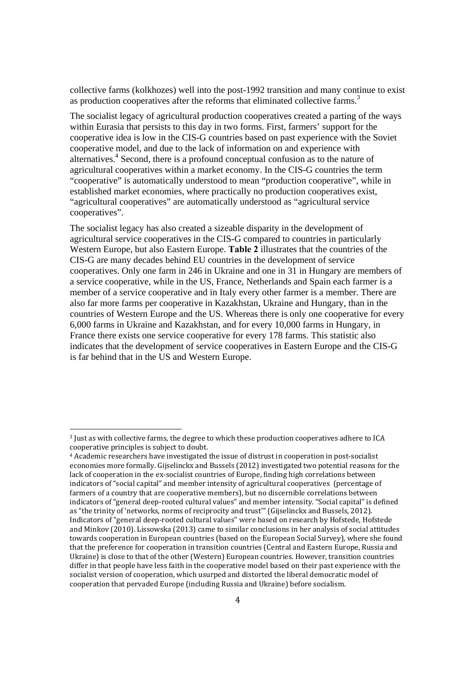collective farms (kolkhozes) well into the post-1992 transition and many continue to exist as production cooperatives after the reforms that eliminated collective farms.<sup>3</sup>

The socialist legacy of agricultural production cooperatives created a parting of the ways within Eurasia that persists to this day in two forms. First, farmers' support for the cooperative idea is low in the CIS-G countries based on past experience with the Soviet cooperative model, and due to the lack of information on and experience with alternatives.<sup>4</sup> Second, there is a profound conceptual confusion as to the nature of agricultural cooperatives within a market economy. In the CIS-G countries the term "cooperative" is automatically understood to mean "production cooperative", while in established market economies, where practically no production cooperatives exist, "agricultural cooperatives" are automatically understood as "agricultural service cooperatives".

The socialist legacy has also created a sizeable disparity in the development of agricultural service cooperatives in the CIS-G compared to countries in particularly Western Europe, but also Eastern Europe. **Table 2** illustrates that the countries of the CIS-G are many decades behind EU countries in the development of service cooperatives. Only one farm in 246 in Ukraine and one in 31 in Hungary are members of a service cooperative, while in the US, France, Netherlands and Spain each farmer is a member of a service cooperative and in Italy every other farmer is a member. There are also far more farms per cooperative in Kazakhstan, Ukraine and Hungary, than in the countries of Western Europe and the US. Whereas there is only one cooperative for every 6,000 farms in Ukraine and Kazakhstan, and for every 10,000 farms in Hungary, in France there exists one service cooperative for every 178 farms. This statistic also indicates that the development of service cooperatives in Eastern Europe and the CIS-G is far behind that in the US and Western Europe.

<sup>3</sup> Just as with collective farms, the degree to which these production cooperatives adhere to ICA cooperative principles is subject to doubt.

<sup>4</sup> Academic researchers have investigated the issue of distrust in cooperation in post‐socialist economies more formally. Gijselinckx and Bussels (2012) investigated two potential reasons for the lack of cooperation in the ex-socialist countries of Europe, finding high correlations between indicators of "social capital" and member intensity of agricultural cooperatives (percentage of farmers of a country that are cooperative members), but no discernible correlations between indicators of "general deep-rooted cultural values" and member intensity. "Social capital" is defined as "the trinity of 'networks, norms of reciprocity and trust'" (Gijselinckx and Bussels, 2012). Indicators of "general deep‐rooted cultural values" were based on research by Hofstede, Hofstede and Minkov (2010). Lissowska (2013) came to similar conclusions in her analysis of social attitudes towards cooperation in European countries (based on the European Social Survey), where she found that the preference for cooperation in transition countries (Central and Eastern Europe, Russia and Ukraine) is close to that of the other (Western) European countries. However, transition countries differ in that people have less faith in the cooperative model based on their past experience with the socialist version of cooperation, which usurped and distorted the liberal democratic model of cooperation that pervaded Europe (including Russia and Ukraine) before socialism.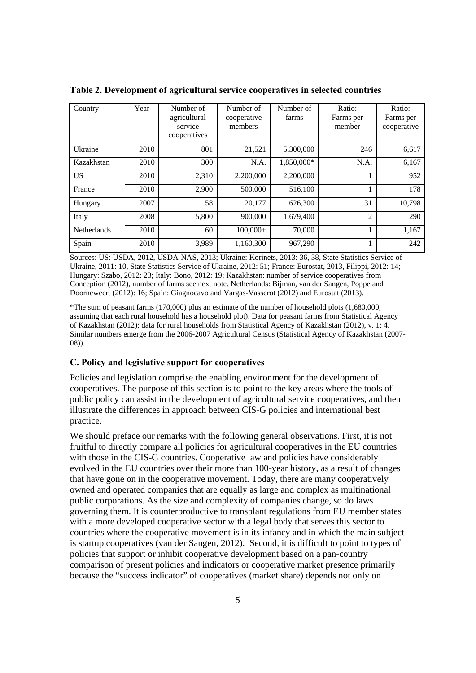| Country     | Year | Number of<br>agricultural | Number of<br>cooperative | Number of<br>farms | Ratio:<br>Farms per | Ratio:<br>Farms per |
|-------------|------|---------------------------|--------------------------|--------------------|---------------------|---------------------|
|             |      | service<br>cooperatives   | members                  |                    | member              | cooperative         |
| Ukraine     | 2010 | 801                       | 21,521                   | 5,300,000          | 246                 | 6,617               |
| Kazakhstan  | 2010 | 300                       | N.A.                     | 1,850,000*         | N.A.                | 6,167               |
| <b>US</b>   | 2010 | 2,310                     | 2,200,000                | 2,200,000          |                     | 952                 |
| France      | 2010 | 2,900                     | 500,000                  | 516,100            |                     | 178                 |
| Hungary     | 2007 | 58                        | 20,177                   | 626,300            | 31                  | 10,798              |
| Italy       | 2008 | 5,800                     | 900,000                  | 1,679,400          | $\overline{c}$      | 290                 |
| Netherlands | 2010 | 60                        | $100.000+$               | 70,000             |                     | 1.167               |
| Spain       | 2010 | 3,989                     | 1,160,300                | 967,290            |                     | 242                 |

**Table 2. Development of agricultural service cooperatives in selected countries** 

Sources: US: USDA, 2012, USDA-NAS, 2013; Ukraine: Korinets, 2013: 36, 38, State Statistics Service of Ukraine, 2011: 10, State Statistics Service of Ukraine, 2012: 51; France: Eurostat, 2013, Filippi, 2012: 14; Hungary: Szabo, 2012: 23; Italy: Bono, 2012: 19; Kazakhstan: number of service cooperatives from Conception (2012), number of farms see next note. Netherlands: Bijman, van der Sangen, Poppe and Doorneweert (2012): 16; Spain: Giagnocavo and Vargas-Vasserot (2012) and Eurostat (2013).

\*The sum of peasant farms (170,000) plus an estimate of the number of household plots (1,680,000, assuming that each rural household has a household plot). Data for peasant farms from Statistical Agency of Kazakhstan (2012); data for rural households from Statistical Agency of Kazakhstan (2012), v. 1: 4. Similar numbers emerge from the 2006-2007 Agricultural Census (Statistical Agency of Kazakhstan (2007- 08)).

### **C. Policy and legislative support for cooperatives**

Policies and legislation comprise the enabling environment for the development of cooperatives. The purpose of this section is to point to the key areas where the tools of public policy can assist in the development of agricultural service cooperatives, and then illustrate the differences in approach between CIS-G policies and international best practice.

We should preface our remarks with the following general observations. First, it is not fruitful to directly compare all policies for agricultural cooperatives in the EU countries with those in the CIS-G countries. Cooperative law and policies have considerably evolved in the EU countries over their more than 100-year history, as a result of changes that have gone on in the cooperative movement. Today, there are many cooperatively owned and operated companies that are equally as large and complex as multinational public corporations. As the size and complexity of companies change, so do laws governing them. It is counterproductive to transplant regulations from EU member states with a more developed cooperative sector with a legal body that serves this sector to countries where the cooperative movement is in its infancy and in which the main subject is startup cooperatives (van der Sangen, 2012). Second, it is difficult to point to types of policies that support or inhibit cooperative development based on a pan-country comparison of present policies and indicators or cooperative market presence primarily because the "success indicator" of cooperatives (market share) depends not only on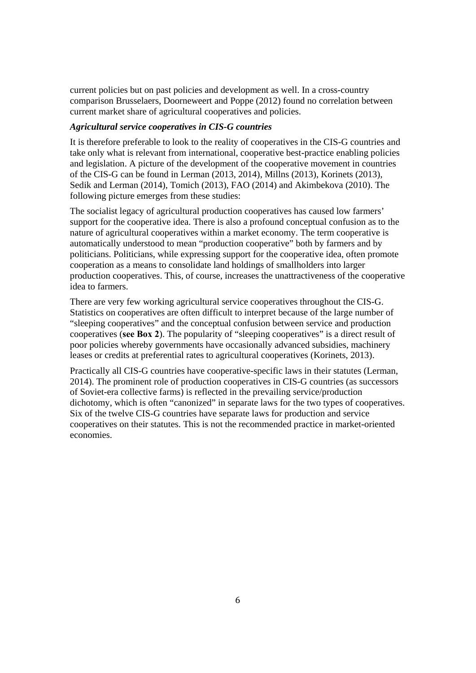current policies but on past policies and development as well. In a cross-country comparison Brusselaers, Doorneweert and Poppe (2012) found no correlation between current market share of agricultural cooperatives and policies.

### *Agricultural service cooperatives in CIS-G countries*

It is therefore preferable to look to the reality of cooperatives in the CIS-G countries and take only what is relevant from international, cooperative best-practice enabling policies and legislation. A picture of the development of the cooperative movement in countries of the CIS-G can be found in Lerman (2013, 2014), Millns (2013), Korinets (2013), Sedik and Lerman (2014), Tomich (2013), FAO (2014) and Akimbekova (2010). The following picture emerges from these studies:

The socialist legacy of agricultural production cooperatives has caused low farmers' support for the cooperative idea. There is also a profound conceptual confusion as to the nature of agricultural cooperatives within a market economy. The term cooperative is automatically understood to mean "production cooperative" both by farmers and by politicians. Politicians, while expressing support for the cooperative idea, often promote cooperation as a means to consolidate land holdings of smallholders into larger production cooperatives. This, of course, increases the unattractiveness of the cooperative idea to farmers.

There are very few working agricultural service cooperatives throughout the CIS-G. Statistics on cooperatives are often difficult to interpret because of the large number of "sleeping cooperatives" and the conceptual confusion between service and production cooperatives (**see Box 2**). The popularity of "sleeping cooperatives" is a direct result of poor policies whereby governments have occasionally advanced subsidies, machinery leases or credits at preferential rates to agricultural cooperatives (Korinets, 2013).

Practically all CIS-G countries have cooperative-specific laws in their statutes (Lerman, 2014). The prominent role of production cooperatives in CIS-G countries (as successors of Soviet-era collective farms) is reflected in the prevailing service/production dichotomy, which is often "canonized" in separate laws for the two types of cooperatives. Six of the twelve CIS-G countries have separate laws for production and service cooperatives on their statutes. This is not the recommended practice in market-oriented economies.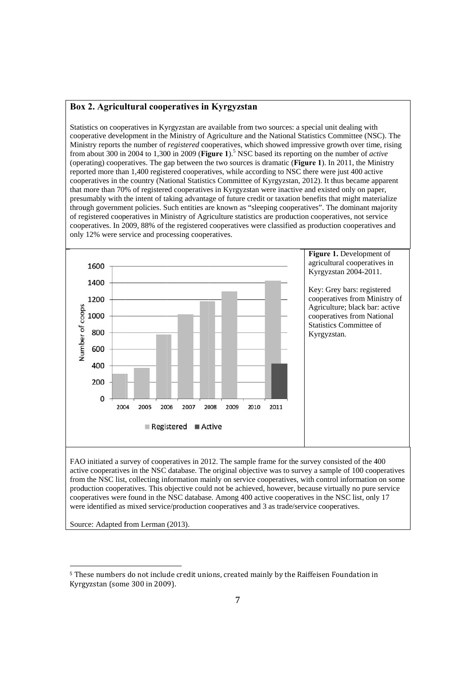#### Box 2. Agricultural cooperatives in Kyrgyzstan

Statistics on cooperatives in Kyrgyzstan are available from two sources: a special unit dealing with Statistics on cooperatives in Kyrgyzstan are available from two sources: a special unit dealing with<br>cooperative development in the Ministry of Agriculture and the National Statistics Committee (NSC). The Ministry reports the number of *registered* cooperatives, which showed impressive growth over time, rising from about 300 in 2004 to 1,300 in 2009 (Figure 1).<sup>5</sup> NSC based its reporting on the number of *active* (operating) cooperatives. The gap between the two sources is dramatic (**Figure 1**). In 2011, the Ministry reported more than 1,400 registered cooperatives, while according to NSC there were just 400 active cooperatives in the country (National Statistics Committee of Kyrgyzstan, 2012). It thus became apparent that more than 70% of registered cooperatives in Kyrgyzstan were inactive and existed only on paper, presumably with the intent of taking advantage of future credit or taxation benefits that might materialize through government policies. Such entities are known as "sleeping cooperatives". The dominant majority of registered cooperatives in Ministry of Agriculture statistics are production cooperatives, not service cooperatives. In 2009, 88% of the registered cooperatives were classified as production cooperatives and only 12% were service and processing cooperatives.



FAO initiated a survey of cooperatives in 2012. The sample frame for the survey consisted of the 400 active cooperatives in the NSC database. The original objective was to survey a sample of 100 cooperatives from the NSC list, collecting information mainly on service cooperatives, with control information on some production cooperatives. This objective could not be achieved, however, because virtually no pure service cooperatives were found in the NSC database. Among 400 active cooperatives in the NSC list, only 17 were identified as mixed service/production cooperatives and 3 as trade/service cooperatives.

Source: Adapted from Lerman (2013).

 $\overline{\phantom{0}}$ 

<sup>&</sup>lt;sup>5</sup> These numbers do not include credit unions, created mainly by the Raiffeisen Foundation in Kyrgyzstan (some 300 in 2009).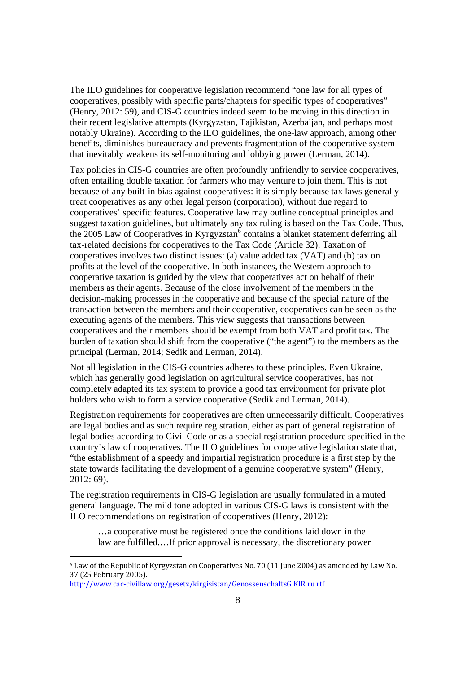The ILO guidelines for cooperative legislation recommend "one law for all types of cooperatives, possibly with specific parts/chapters for specific types of cooperatives" (Henry, 2012: 59), and CIS-G countries indeed seem to be moving in this direction in their recent legislative attempts (Kyrgyzstan, Tajikistan, Azerbaijan, and perhaps most notably Ukraine). According to the ILO guidelines, the one-law approach, among other benefits, diminishes bureaucracy and prevents fragmentation of the cooperative system that inevitably weakens its self-monitoring and lobbying power (Lerman, 2014).

Tax policies in CIS-G countries are often profoundly unfriendly to service cooperatives, often entailing double taxation for farmers who may venture to join them. This is not because of any built-in bias against cooperatives: it is simply because tax laws generally treat cooperatives as any other legal person (corporation), without due regard to cooperatives' specific features. Cooperative law may outline conceptual principles and suggest taxation guidelines, but ultimately any tax ruling is based on the Tax Code. Thus, the 2005 Law of Cooperatives in Kyrgyzstan<sup>6</sup> contains a blanket statement deferring all tax-related decisions for cooperatives to the Tax Code (Article 32). Taxation of cooperatives involves two distinct issues: (a) value added tax (VAT) and (b) tax on profits at the level of the cooperative. In both instances, the Western approach to cooperative taxation is guided by the view that cooperatives act on behalf of their members as their agents. Because of the close involvement of the members in the decision-making processes in the cooperative and because of the special nature of the transaction between the members and their cooperative, cooperatives can be seen as the executing agents of the members. This view suggests that transactions between cooperatives and their members should be exempt from both VAT and profit tax. The burden of taxation should shift from the cooperative ("the agent") to the members as the principal (Lerman, 2014; Sedik and Lerman, 2014).

Not all legislation in the CIS-G countries adheres to these principles. Even Ukraine, which has generally good legislation on agricultural service cooperatives, has not completely adapted its tax system to provide a good tax environment for private plot holders who wish to form a service cooperative (Sedik and Lerman, 2014).

Registration requirements for cooperatives are often unnecessarily difficult. Cooperatives are legal bodies and as such require registration, either as part of general registration of legal bodies according to Civil Code or as a special registration procedure specified in the country's law of cooperatives. The ILO guidelines for cooperative legislation state that, "the establishment of a speedy and impartial registration procedure is a first step by the state towards facilitating the development of a genuine cooperative system" (Henry, 2012: 69).

The registration requirements in CIS-G legislation are usually formulated in a muted general language. The mild tone adopted in various CIS-G laws is consistent with the ILO recommendations on registration of cooperatives (Henry, 2012):

…a cooperative must be registered once the conditions laid down in the law are fulfilled.…If prior approval is necessary, the discretionary power

<sup>6</sup> Law of the Republic of Kyrgyzstan on Cooperatives No. 70 (11 June 2004) as amended by Law No. 37 (25 February 2005).

http://www.cac‐civillaw.org/gesetz/kirgisistan/GenossenschaftsG.KIR.ru.rtf.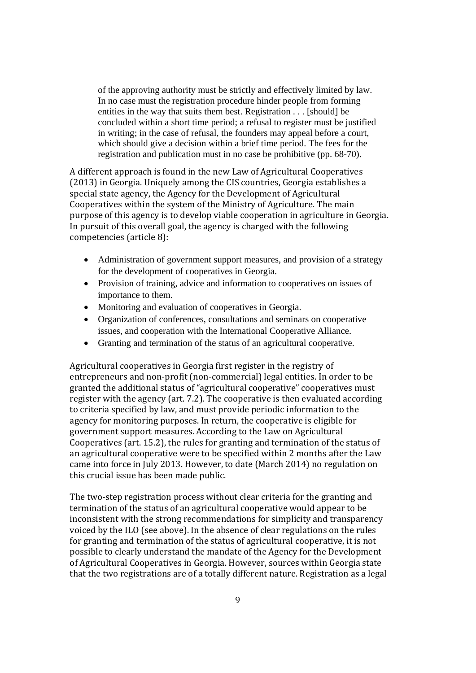of the approving authority must be strictly and effectively limited by law. In no case must the registration procedure hinder people from forming entities in the way that suits them best. Registration . . . [should] be concluded within a short time period; a refusal to register must be justified in writing; in the case of refusal, the founders may appeal before a court, which should give a decision within a brief time period. The fees for the registration and publication must in no case be prohibitive (pp. 68-70).

A different approach is found in the new Law of Agricultural Cooperatives (2013) in Georgia. Uniquely among the CIS countries, Georgia establishes a special state agency, the Agency for the Development of Agricultural Cooperatives within the system of the Ministry of Agriculture. The main purpose of this agency is to develop viable cooperation in agriculture in Georgia. In pursuit of this overall goal, the agency is charged with the following competencies (article 8):

- Administration of government support measures, and provision of a strategy for the development of cooperatives in Georgia.
- Provision of training, advice and information to cooperatives on issues of importance to them.
- Monitoring and evaluation of cooperatives in Georgia.
- Organization of conferences, consultations and seminars on cooperative issues, and cooperation with the International Cooperative Alliance.
- Granting and termination of the status of an agricultural cooperative.

Agricultural cooperatives in Georgia first register in the registry of entrepreneurs and non‐profit (non‐commercial) legal entities. In order to be granted the additional status of "agricultural cooperative" cooperatives must register with the agency (art. 7.2). The cooperative is then evaluated according to criteria specified by law, and must provide periodic information to the agency for monitoring purposes. In return, the cooperative is eligible for government support measures. According to the Law on Agricultural Cooperatives (art. 15.2), the rules for granting and termination of the status of an agricultural cooperative were to be specified within 2 months after the Law came into force in July 2013. However, to date (March 2014) no regulation on this crucial issue has been made public.

The two-step registration process without clear criteria for the granting and termination of the status of an agricultural cooperative would appear to be inconsistent with the strong recommendations for simplicity and transparency voiced by the ILO (see above). In the absence of clear regulations on the rules for granting and termination of the status of agricultural cooperative, it is not possible to clearly understand the mandate of the Agency for the Development of Agricultural Cooperatives in Georgia. However, sources within Georgia state that the two registrations are of a totally different nature. Registration as a legal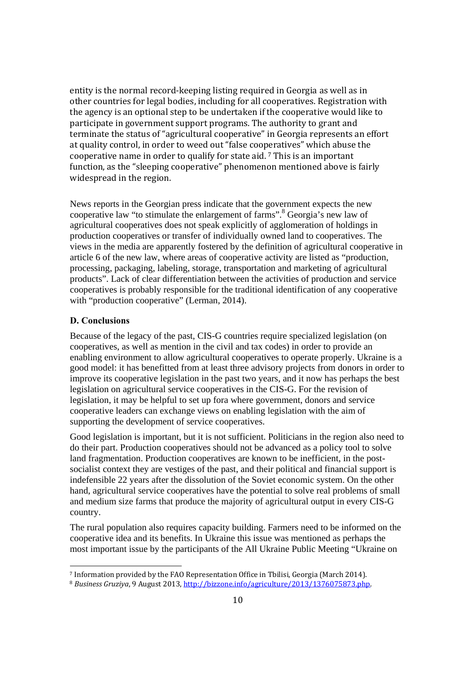entity is the normal record‐keeping listing required in Georgia as well as in other countries for legal bodies, including for all cooperatives. Registration with the agency is an optional step to be undertaken if the cooperative would like to participate in government support programs. The authority to grant and terminate the status of "agricultural cooperative" in Georgia represents an effort at quality control, in order to weed out "false cooperatives" which abuse the cooperative name in order to qualify for state aid. 7 This is an important function, as the "sleeping cooperative" phenomenon mentioned above is fairly widespread in the region.

News reports in the Georgian press indicate that the government expects the new cooperative law "to stimulate the enlargement of farms".<sup>8</sup> Georgia's new law of agricultural cooperatives does not speak explicitly of agglomeration of holdings in production cooperatives or transfer of individually owned land to cooperatives. The views in the media are apparently fostered by the definition of agricultural cooperative in article 6 of the new law, where areas of cooperative activity are listed as "production, processing, packaging, labeling, storage, transportation and marketing of agricultural products". Lack of clear differentiation between the activities of production and service cooperatives is probably responsible for the traditional identification of any cooperative with "production cooperative" (Lerman, 2014).

#### **D. Conclusions**

<u> 1989 - Jan Samuel Barbara, politik eta politik eta politik eta politik eta politik eta politik eta politik e</u>

Because of the legacy of the past, CIS-G countries require specialized legislation (on cooperatives, as well as mention in the civil and tax codes) in order to provide an enabling environment to allow agricultural cooperatives to operate properly. Ukraine is a good model: it has benefitted from at least three advisory projects from donors in order to improve its cooperative legislation in the past two years, and it now has perhaps the best legislation on agricultural service cooperatives in the CIS-G. For the revision of legislation, it may be helpful to set up fora where government, donors and service cooperative leaders can exchange views on enabling legislation with the aim of supporting the development of service cooperatives.

Good legislation is important, but it is not sufficient. Politicians in the region also need to do their part. Production cooperatives should not be advanced as a policy tool to solve land fragmentation. Production cooperatives are known to be inefficient, in the postsocialist context they are vestiges of the past, and their political and financial support is indefensible 22 years after the dissolution of the Soviet economic system. On the other hand, agricultural service cooperatives have the potential to solve real problems of small and medium size farms that produce the majority of agricultural output in every CIS-G country.

The rural population also requires capacity building. Farmers need to be informed on the cooperative idea and its benefits. In Ukraine this issue was mentioned as perhaps the most important issue by the participants of the All Ukraine Public Meeting "Ukraine on

<sup>7</sup> Information provided by the FAO Representation Office in Tbilisi, Georgia (March 2014).

<sup>8</sup> *Business Gruziya*, 9 August 2013, http://bizzone.info/agriculture/2013/1376075873.php.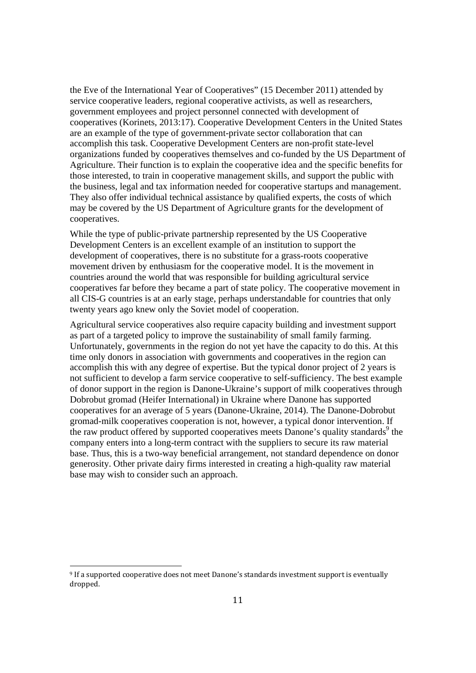the Eve of the International Year of Cooperatives" (15 December 2011) attended by service cooperative leaders, regional cooperative activists, as well as researchers, government employees and project personnel connected with development of cooperatives (Korinets, 2013:17). Cooperative Development Centers in the United States are an example of the type of government-private sector collaboration that can accomplish this task. Cooperative Development Centers are non-profit state-level organizations funded by cooperatives themselves and co-funded by the US Department of Agriculture. Their function is to explain the cooperative idea and the specific benefits for those interested, to train in cooperative management skills, and support the public with the business, legal and tax information needed for cooperative startups and management. They also offer individual technical assistance by qualified experts, the costs of which may be covered by the US Department of Agriculture grants for the development of cooperatives.

While the type of public-private partnership represented by the US Cooperative Development Centers is an excellent example of an institution to support the development of cooperatives, there is no substitute for a grass-roots cooperative movement driven by enthusiasm for the cooperative model. It is the movement in countries around the world that was responsible for building agricultural service cooperatives far before they became a part of state policy. The cooperative movement in all CIS-G countries is at an early stage, perhaps understandable for countries that only twenty years ago knew only the Soviet model of cooperation.

Agricultural service cooperatives also require capacity building and investment support as part of a targeted policy to improve the sustainability of small family farming. Unfortunately, governments in the region do not yet have the capacity to do this. At this time only donors in association with governments and cooperatives in the region can accomplish this with any degree of expertise. But the typical donor project of 2 years is not sufficient to develop a farm service cooperative to self-sufficiency. The best example of donor support in the region is Danone-Ukraine's support of milk cooperatives through Dobrobut gromad (Heifer International) in Ukraine where Danone has supported cooperatives for an average of 5 years (Danone-Ukraine, 2014). The Danone-Dobrobut gromad-milk cooperatives cooperation is not, however, a typical donor intervention. If the raw product offered by supported cooperatives meets Danone's quality standards<sup>9</sup> the company enters into a long-term contract with the suppliers to secure its raw material base. Thus, this is a two-way beneficial arrangement, not standard dependence on donor generosity. Other private dairy firms interested in creating a high-quality raw material base may wish to consider such an approach.

<u> 1989 - Jan Samuel Barbara, politik eta politik eta politik eta politik eta politik eta politik eta politik e</u>

<sup>9</sup> If a supported cooperative does not meet Danone's standards investment support is eventually dropped.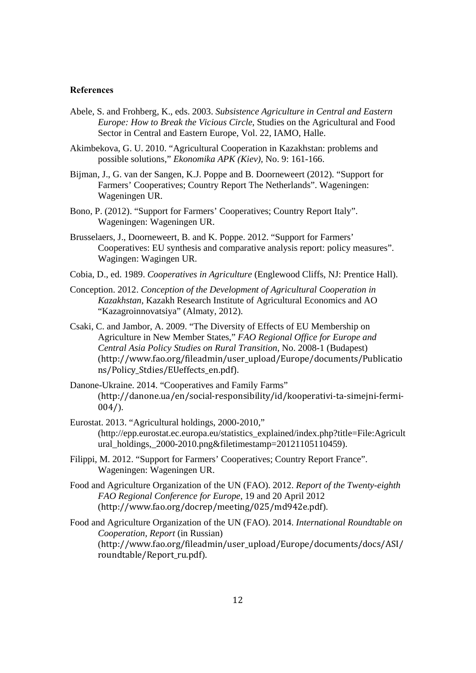#### **References**

- Abele, S. and Frohberg, K., eds. 2003. *Subsistence Agriculture in Central and Eastern Europe: How to Break the Vicious Circle*, Studies on the Agricultural and Food Sector in Central and Eastern Europe, Vol. 22, IAMO, Halle.
- Akimbekova, G. U. 2010. "Agricultural Cooperation in Kazakhstan: problems and possible solutions," *Ekonomika APK (Kiev),* No. 9: 161-166.
- Bijman, J., G. van der Sangen, K.J. Poppe and B. Doorneweert (2012). "Support for Farmers' Cooperatives; Country Report The Netherlands". Wageningen: Wageningen UR.
- Bono, P. (2012). "Support for Farmers' Cooperatives; Country Report Italy". Wageningen: Wageningen UR.
- Brusselaers, J., Doorneweert, B. and K. Poppe. 2012. "Support for Farmers' Cooperatives: EU synthesis and comparative analysis report: policy measures". Wagingen: Wagingen UR.
- Cobia, D., ed. 1989. *Cooperatives in Agriculture* (Englewood Cliffs, NJ: Prentice Hall).
- Conception. 2012. *Conception of the Development of Agricultural Cooperation in Kazakhstan*, Kazakh Research Institute of Agricultural Economics and AO "Kazagroinnovatsiya" (Almaty, 2012).
- Csaki, C. and Jambor, A. 2009. "The Diversity of Effects of EU Membership on Agriculture in New Member States," *FAO Regional Office for Europe and Central Asia Policy Studies on Rural Transition,* No. 2008-1 (Budapest) (http://www.fao.org/fileadmin/user\_upload/Europe/documents/Publicatio ns/Policy\_Stdies/EUeffects\_en.pdf).
- Danone-Ukraine. 2014. "Cooperatives and Family Farms" (http://danone.ua/en/social‐responsibility/id/kooperativi‐ta‐simejni‐fermi‐  $004/$ ).
- Eurostat. 2013. "Agricultural holdings, 2000-2010," (http://epp.eurostat.ec.europa.eu/statistics\_explained/index.php?title=File:Agricult ural\_holdings,\_2000-2010.png&filetimestamp=20121105110459).
- Filippi, M. 2012. "Support for Farmers' Cooperatives; Country Report France". Wageningen: Wageningen UR.
- Food and Agriculture Organization of the UN (FAO). 2012. *Report of the Twenty-eighth FAO Regional Conference for Europe*, 19 and 20 April 2012 (http://www.fao.org/docrep/meeting/025/md942e.pdf).
- Food and Agriculture Organization of the UN (FAO). 2014. *International Roundtable on Cooperation, Report* (in Russian) (http://www.fao.org/fileadmin/user\_upload/Europe/documents/docs/ASI/ roundtable/Report ru.pdf).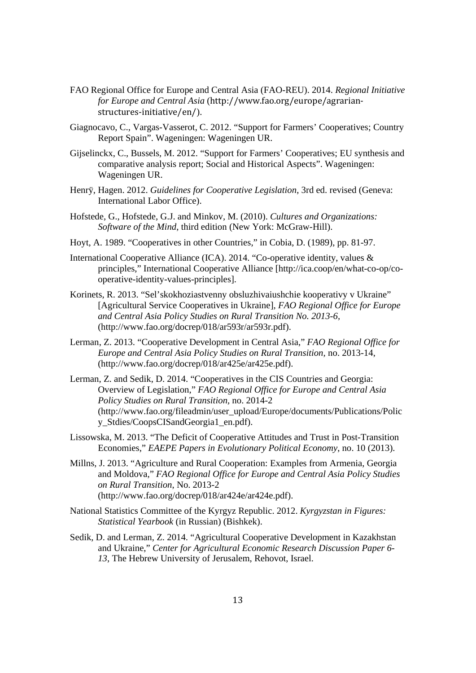- FAO Regional Office for Europe and Central Asia (FAO-REU). 2014. *Regional Initiative for Europe and Central Asia* (http://www.fao.org/europe/agrarian‐ structures‐initiative/en/).
- Giagnocavo, C., Vargas-Vasserot, C. 2012. "Support for Farmers' Cooperatives; Country Report Spain". Wageningen: Wageningen UR.
- Gijselinckx, C., Bussels, M. 2012. "Support for Farmers' Cooperatives; EU synthesis and comparative analysis report; Social and Historical Aspects". Wageningen: Wageningen UR.
- Henrÿ, Hagen. 2012. *Guidelines for Cooperative Legislation*, 3rd ed. revised (Geneva: International Labor Office).
- Hofstede, G., Hofstede, G.J. and Minkov, M. (2010). *Cultures and Organizations: Software of the Mind*, third edition (New York: McGraw-Hill).
- Hoyt, A. 1989. "Cooperatives in other Countries," in Cobia, D. (1989), pp. 81-97.
- International Cooperative Alliance (ICA). 2014. "Co-operative identity, values & principles," International Cooperative Alliance [http://ica.coop/en/what-co-op/cooperative-identity-values-principles].
- Korinets, R. 2013. "Sel'skokhoziastvenny obsluzhivaiushchie kooperativy v Ukraine" [Agricultural Service Cooperatives in Ukraine], *FAO Regional Office for Europe and Central Asia Policy Studies on Rural Transition No. 2013-6,* (http://www.fao.org/docrep/018/ar593r/ar593r.pdf).
- Lerman, Z. 2013. "Cooperative Development in Central Asia," *FAO Regional Office for Europe and Central Asia Policy Studies on Rural Transition,* no. 2013-14, (http://www.fao.org/docrep/018/ar425e/ar425e.pdf).
- Lerman, Z. and Sedik, D. 2014. "Cooperatives in the CIS Countries and Georgia: Overview of Legislation," *FAO Regional Office for Europe and Central Asia Policy Studies on Rural Transition,* no. 2014-2 (http://www.fao.org/fileadmin/user\_upload/Europe/documents/Publications/Polic y\_Stdies/CoopsCISandGeorgia1\_en.pdf).
- Lissowska, M. 2013. "The Deficit of Cooperative Attitudes and Trust in Post-Transition Economies," *EAEPE Papers in Evolutionary Political Economy*, no. 10 (2013).
- Millns, J. 2013. "Agriculture and Rural Cooperation: Examples from Armenia, Georgia and Moldova," *FAO Regional Office for Europe and Central Asia Policy Studies on Rural Transition*, No. 2013-2 (http://www.fao.org/docrep/018/ar424e/ar424e.pdf).
- National Statistics Committee of the Kyrgyz Republic. 2012. *Kyrgyzstan in Figures: Statistical Yearbook* (in Russian) (Bishkek).
- Sedik, D. and Lerman, Z. 2014. "Agricultural Cooperative Development in Kazakhstan and Ukraine," *Center for Agricultural Economic Research Discussion Paper 6- 13*, The Hebrew University of Jerusalem, Rehovot, Israel.